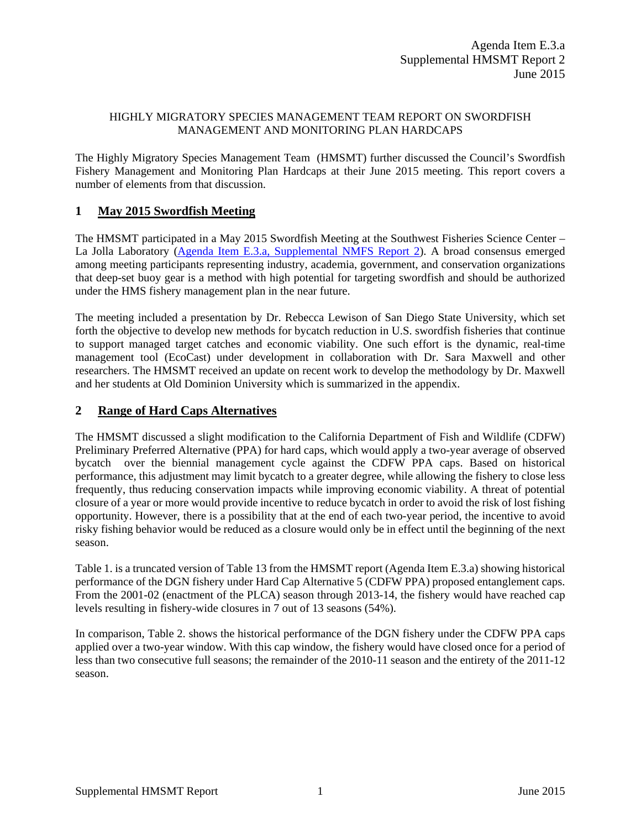#### HIGHLY MIGRATORY SPECIES MANAGEMENT TEAM REPORT ON SWORDFISH MANAGEMENT AND MONITORING PLAN HARDCAPS

The Highly Migratory Species Management Team (HMSMT) further discussed the Council's Swordfish Fishery Management and Monitoring Plan Hardcaps at their June 2015 meeting. This report covers a number of elements from that discussion.

## **1 May 2015 Swordfish Meeting**

The HMSMT participated in a May 2015 Swordfish Meeting at the Southwest Fisheries Science Center – La Jolla Laboratory [\(Agenda Item E.3.a, Supplemental NMFS Report 2\)](http://www.pcouncil.org/wp-content/uploads/2015/06/E3a_Sup_NMFS_Rpt2_JUN2015BB.pdf). A broad consensus emerged among meeting participants representing industry, academia, government, and conservation organizations that deep-set buoy gear is a method with high potential for targeting swordfish and should be authorized under the HMS fishery management plan in the near future.

The meeting included a presentation by Dr. Rebecca Lewison of San Diego State University, which set forth the objective to develop new methods for bycatch reduction in U.S. swordfish fisheries that continue to support managed target catches and economic viability. One such effort is the dynamic, real-time management tool (EcoCast) under development in collaboration with Dr. Sara Maxwell and other researchers. The HMSMT received an update on recent work to develop the methodology by Dr. Maxwell and her students at Old Dominion University which is summarized in the appendix.

## **2 Range of Hard Caps Alternatives**

The HMSMT discussed a slight modification to the California Department of Fish and Wildlife (CDFW) Preliminary Preferred Alternative (PPA) for hard caps, which would apply a two-year average of observed bycatch over the biennial management cycle against the CDFW PPA caps. Based on historical performance, this adjustment may limit bycatch to a greater degree, while allowing the fishery to close less frequently, thus reducing conservation impacts while improving economic viability. A threat of potential closure of a year or more would provide incentive to reduce bycatch in order to avoid the risk of lost fishing opportunity. However, there is a possibility that at the end of each two-year period, the incentive to avoid risky fishing behavior would be reduced as a closure would only be in effect until the beginning of the next season.

[Table 1.](#page-1-0) is a truncated version of Table 13 from the HMSMT report (Agenda Item E.3.a) showing historical performance of the DGN fishery under Hard Cap Alternative 5 (CDFW PPA) proposed entanglement caps. From the 2001-02 (enactment of the PLCA) season through 2013-14, the fishery would have reached cap levels resulting in fishery-wide closures in 7 out of 13 seasons (54%).

In comparison, [Table 2.](#page-1-1) shows the historical performance of the DGN fishery under the CDFW PPA caps applied over a two-year window. With this cap window, the fishery would have closed once for a period of less than two consecutive full seasons; the remainder of the 2010-11 season and the entirety of the 2011-12 season.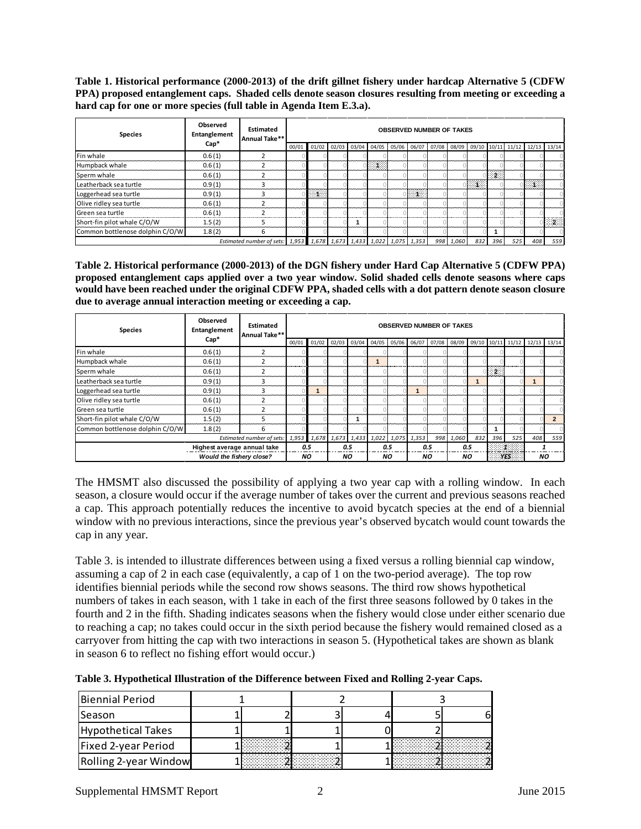<span id="page-1-0"></span>**Table 1. Historical performance (2000-2013) of the drift gillnet fishery under hardcap Alternative 5 (CDFW PPA) proposed entanglement caps. Shaded cells denote season closures resulting from meeting or exceeding a hard cap for one or more species (full table in Agenda Item E.3.a).**

| <b>Species</b>                  | Observed<br>Entanglement | <b>Estimated</b><br>Annual Take**                                   |       | <b>OBSERVED NUMBER OF TAKES</b> |  |  |   |  |               |  |           |     |     |                                                                                                         |     |        |
|---------------------------------|--------------------------|---------------------------------------------------------------------|-------|---------------------------------|--|--|---|--|---------------|--|-----------|-----|-----|---------------------------------------------------------------------------------------------------------|-----|--------|
|                                 | $Cap*$                   |                                                                     | 00/01 |                                 |  |  |   |  |               |  |           |     |     | $01/02$ $02/03$ $03/04$ $04/05$ $05/06$ $06/07$ $07/08$ $08/09$ $09/10$ $10/11$ $11/12$ $12/13$ $13/14$ |     |        |
| Fin whale                       | 0.6(1)                   |                                                                     |       |                                 |  |  |   |  |               |  |           |     |     |                                                                                                         |     |        |
| Humpback whale                  | 0.6(1)                   |                                                                     |       |                                 |  |  | ा |  |               |  |           |     |     |                                                                                                         |     |        |
| Sperm whale                     | 0.6(1)                   |                                                                     |       |                                 |  |  |   |  |               |  |           |     | -2  |                                                                                                         |     |        |
| Leatherback sea turtle          | 0.9(1)                   |                                                                     |       |                                 |  |  |   |  |               |  |           | EX  |     |                                                                                                         | E   |        |
| Loggerhead sea turtle           | 0.9(1)                   |                                                                     |       | ા                               |  |  |   |  | <b>Barnet</b> |  |           |     |     |                                                                                                         |     |        |
| Olive ridley sea turtle         | 0.6(1)                   |                                                                     |       |                                 |  |  |   |  |               |  |           |     |     |                                                                                                         |     |        |
| Green sea turtle                | 0.6(1)                   |                                                                     |       |                                 |  |  |   |  |               |  |           |     |     |                                                                                                         |     |        |
| Short-fin pilot whale C/O/W     | 1.5(2)                   |                                                                     |       |                                 |  |  |   |  |               |  |           |     |     |                                                                                                         |     | $\sim$ |
| Common bottlenose dolphin C/O/W | 1.8(2)                   | 6                                                                   |       |                                 |  |  |   |  |               |  |           |     |     |                                                                                                         |     |        |
|                                 |                          | Estimated number of sets: 1,953 1,678 1,673 1,433 1,022 1,075 1,353 |       |                                 |  |  |   |  |               |  | 998 1,060 | 832 | 396 | 525                                                                                                     | 408 | 559    |

<span id="page-1-1"></span>**Table 2. Historical performance (2000-2013) of the DGN fishery under Hard Cap Alternative 5 (CDFW PPA) proposed entanglement caps applied over a two year window. Solid shaded cells denote seasons where caps would have been reached under the original CDFW PPA, shaded cells with a dot pattern denote season closure due to average annual interaction meeting or exceeding a cap.**

| <b>Species</b>                  | Observed<br>Entanglement        | Estimated<br>Annual Take** | <b>OBSERVED NUMBER OF TAKES</b> |                                           |           |  |                                                                                                         |     |  |           |           |     |     |      |           |     |
|---------------------------------|---------------------------------|----------------------------|---------------------------------|-------------------------------------------|-----------|--|---------------------------------------------------------------------------------------------------------|-----|--|-----------|-----------|-----|-----|------|-----------|-----|
|                                 | $Cap*$                          |                            | 00/01                           |                                           |           |  | $01/02$ $02/03$ $03/04$ $04/05$ $05/06$ $06/07$ $07/08$ $08/09$ $09/10$ $10/11$ $11/12$ $12/13$ $13/14$ |     |  |           |           |     |     |      |           |     |
| Fin whale                       | 0.6(1)                          |                            |                                 |                                           |           |  |                                                                                                         |     |  |           |           |     |     |      |           |     |
| Humpback whale                  | 0.6(1)                          |                            |                                 |                                           |           |  |                                                                                                         |     |  |           |           |     |     |      |           |     |
| Sperm whale                     | 0.6(1)                          |                            |                                 |                                           |           |  |                                                                                                         |     |  |           |           |     | 828 |      |           |     |
| Leatherback sea turtle          | 0.9(1)                          | з                          |                                 |                                           |           |  |                                                                                                         |     |  |           |           |     |     |      |           |     |
| Loggerhead sea turtle           | 0.9(1)                          | Ŕ                          |                                 |                                           |           |  |                                                                                                         |     |  |           |           |     |     |      |           |     |
| Olive ridley sea turtle         | 0.6(1)                          |                            |                                 |                                           |           |  |                                                                                                         |     |  |           |           |     |     |      |           |     |
| Green sea turtle                | 0.6(1)                          |                            |                                 |                                           |           |  |                                                                                                         |     |  |           |           |     |     |      |           |     |
| Short-fin pilot whale C/O/W     | 1.5(2)                          |                            |                                 |                                           |           |  |                                                                                                         |     |  |           |           |     |     |      |           |     |
| Common bottlenose dolphin C/O/W | 1.8(2)                          | 6.                         |                                 |                                           |           |  |                                                                                                         |     |  |           |           |     |     |      |           |     |
|                                 | Estimated number of sets:       |                            |                                 | 1,953 1,678 1,673 1,433 1,022 1,075 1,353 |           |  |                                                                                                         |     |  |           | 998 1,060 | 832 | 396 | 525  | 408       | 559 |
|                                 | Highest average annual take     |                            | 0.5                             |                                           | 0.5       |  |                                                                                                         | 0.5 |  | 0.5       |           | 0.5 | - 1 |      |           |     |
|                                 | <b>Would the fishery close?</b> |                            |                                 | NO.                                       | <b>NO</b> |  |                                                                                                         | NO. |  | <b>NO</b> |           | NO. |     | YES. | <b>NO</b> |     |

The HMSMT also discussed the possibility of applying a two year cap with a rolling window. In each season, a closure would occur if the average number of takes over the current and previous seasons reached a cap. This approach potentially reduces the incentive to avoid bycatch species at the end of a biennial window with no previous interactions, since the previous year's observed bycatch would count towards the cap in any year.

[Table 3.](#page-1-2) is intended to illustrate differences between using a fixed versus a rolling biennial cap window, assuming a cap of 2 in each case (equivalently, a cap of 1 on the two-period average). The top row identifies biennial periods while the second row shows seasons. The third row shows hypothetical numbers of takes in each season, with 1 take in each of the first three seasons followed by 0 takes in the fourth and 2 in the fifth. Shading indicates seasons when the fishery would close under either scenario due to reaching a cap; no takes could occur in the sixth period because the fishery would remained closed as a carryover from hitting the cap with two interactions in season 5. (Hypothetical takes are shown as blank in season 6 to reflect no fishing effort would occur.)

<span id="page-1-2"></span>**Table 3. Hypothetical Illustration of the Difference between Fixed and Rolling 2-year Caps.**

| Biennial Period       |        |  |  |  |  |  |
|-----------------------|--------|--|--|--|--|--|
| Season                |        |  |  |  |  |  |
| Hypothetical Takes    |        |  |  |  |  |  |
| Fixed 2-year Period   | .<br>. |  |  |  |  |  |
| Rolling 2-year Window | .      |  |  |  |  |  |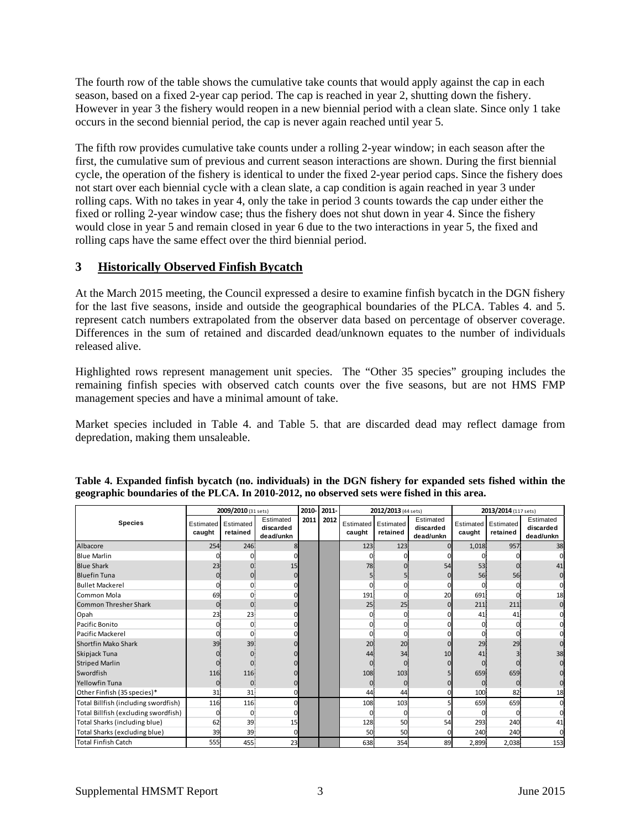The fourth row of the table shows the cumulative take counts that would apply against the cap in each season, based on a fixed 2-year cap period. The cap is reached in year 2, shutting down the fishery. However in year 3 the fishery would reopen in a new biennial period with a clean slate. Since only 1 take occurs in the second biennial period, the cap is never again reached until year 5.

The fifth row provides cumulative take counts under a rolling 2-year window; in each season after the first, the cumulative sum of previous and current season interactions are shown. During the first biennial cycle, the operation of the fishery is identical to under the fixed 2-year period caps. Since the fishery does not start over each biennial cycle with a clean slate, a cap condition is again reached in year 3 under rolling caps. With no takes in year 4, only the take in period 3 counts towards the cap under either the fixed or rolling 2-year window case; thus the fishery does not shut down in year 4. Since the fishery would close in year 5 and remain closed in year 6 due to the two interactions in year 5, the fixed and rolling caps have the same effect over the third biennial period.

### **3 Historically Observed Finfish Bycatch**

At the March 2015 meeting, the Council expressed a desire to examine finfish bycatch in the DGN fishery for the last five seasons, inside and outside the geographical boundaries of the PLCA. Tables 4. and 5. represent catch numbers extrapolated from the observer data based on percentage of observer coverage. Differences in the sum of retained and discarded dead/unknown equates to the number of individuals released alive.

Highlighted rows represent management unit species. The "Other 35 species" grouping includes the remaining finfish species with observed catch counts over the five seasons, but are not HMS FMP management species and have a minimal amount of take.

Market species included in [Table 4.](#page-2-0) and [Table 5.](#page-3-0) that are discarded dead may reflect damage from depredation, making them unsaleable.

|                                      | 2009/2010 (31 sets) |                       |                                     |      | 2011- |                     | 2012/2013 (44 sets)   |                                     | 2013/2014 (117 sets) |                       |                                     |  |
|--------------------------------------|---------------------|-----------------------|-------------------------------------|------|-------|---------------------|-----------------------|-------------------------------------|----------------------|-----------------------|-------------------------------------|--|
| <b>Species</b>                       | Estimated<br>caught | Estimated<br>retained | Estimated<br>discarded<br>dead/unkn | 2011 | 2012  | Estimated<br>caught | Estimated<br>retained | Estimated<br>discarded<br>dead/unkn | Estimated<br>caught  | Estimated<br>retained | Estimated<br>discarded<br>dead/unkn |  |
| Albacore                             | 254                 | 246                   |                                     |      |       | 123                 | 123                   |                                     | 1,018                | 957                   | 38                                  |  |
| <b>Blue Marlin</b>                   |                     |                       |                                     |      |       | ŋ                   |                       |                                     |                      |                       |                                     |  |
| <b>Blue Shark</b>                    | 23                  |                       | 15                                  |      |       | 78                  | $\Omega$              | 54                                  | 53                   |                       | 41                                  |  |
| <b>Bluefin Tuna</b>                  |                     |                       |                                     |      |       |                     |                       |                                     | 56                   | 56                    |                                     |  |
| <b>Bullet Mackerel</b>               |                     |                       |                                     |      |       |                     | 0                     |                                     | $\Omega$             |                       |                                     |  |
| Common Mola                          | 69                  | $\Omega$              |                                     |      |       | 191                 | $\Omega$              | 20                                  | 691                  |                       | 18                                  |  |
| <b>Common Thresher Shark</b>         |                     | 0                     |                                     |      |       | 25                  | 25                    |                                     | 211                  | 211                   |                                     |  |
| Opah                                 | 23                  | 23                    |                                     |      |       |                     | $\Omega$              |                                     | 41                   | 41                    |                                     |  |
| Pacific Bonito                       |                     | $\Omega$              |                                     |      |       |                     | $\Omega$              |                                     | $\Omega$             |                       |                                     |  |
| Pacific Mackerel                     |                     | $\Omega$              |                                     |      |       | n                   | $\Omega$              |                                     | O)                   |                       |                                     |  |
| <b>Shortfin Mako Shark</b>           | 39                  | 39                    |                                     |      |       | 20                  | 20 <sup>1</sup>       |                                     | 29                   | 29                    |                                     |  |
| Skipjack Tuna                        |                     |                       |                                     |      |       | 44                  | 34                    | 10                                  | 41                   |                       |                                     |  |
| <b>Striped Marlin</b>                |                     |                       |                                     |      |       |                     | $\Omega$              |                                     |                      |                       |                                     |  |
| Swordfish                            | 116                 | 116                   |                                     |      |       | 108                 | 103                   |                                     | 659                  | 659                   |                                     |  |
| <b>Yellowfin Tuna</b>                |                     | 0                     |                                     |      |       | 0                   | 0                     |                                     | $\mathbf{0}$         |                       |                                     |  |
| Other Finfish (35 species)*          | 31                  | 31                    |                                     |      |       | 44                  | 44                    |                                     | 100                  | 82                    | 18                                  |  |
| Total Billfish (including swordfish) | 116                 | 116                   |                                     |      |       | 108                 | 103                   |                                     | 659                  | 659                   |                                     |  |
| Total Billfish (excluding swordfish) |                     | $\Omega$              |                                     |      |       | ŋ                   | $\mathbf{0}$          |                                     | Ωl                   |                       |                                     |  |
| Total Sharks (including blue)        | 62                  | 39                    | 15                                  |      |       | 128                 | 50                    | 54                                  | 293                  | 240                   | 41                                  |  |
| Total Sharks (excluding blue)        | 39                  | 39                    |                                     |      |       | 50                  | 50                    |                                     | 240                  | 240                   |                                     |  |
| <b>Total Finfish Catch</b>           | 555                 | 455                   | 23                                  |      |       | 638                 | 354                   | 89                                  | 2,899                | 2,038                 | 153                                 |  |

#### <span id="page-2-0"></span>**Table 4. Expanded finfish bycatch (no. individuals) in the DGN fishery for expanded sets fished within the geographic boundaries of the PLCA. In 2010-2012, no observed sets were fished in this area.**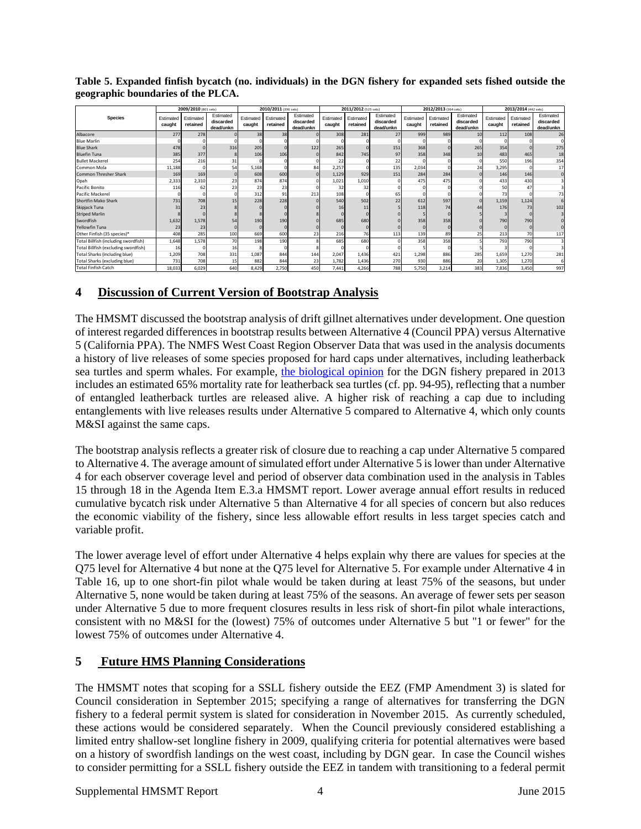|                                      | 2009/2010 (801 sets) |                       |                                     |                     | 2010/2011 (396 sets)  |                                     |                     | 2011/2012 (525 sets)  |                                     |                     | 2012/2013 (364 sets)  |                                     | 2013/2014 (442 sets) |                       |                                     |
|--------------------------------------|----------------------|-----------------------|-------------------------------------|---------------------|-----------------------|-------------------------------------|---------------------|-----------------------|-------------------------------------|---------------------|-----------------------|-------------------------------------|----------------------|-----------------------|-------------------------------------|
| <b>Species</b>                       | Estimated<br>caught  | Estimated<br>retained | Estimated<br>discarded<br>dead/unkn | Estimated<br>caught | Estimated<br>retained | Estimated<br>discarded<br>dead/unkn | Estimated<br>caught | Estimated<br>retained | Estimated<br>discarded<br>dead/unkn | Estimated<br>caught | Estimated<br>retained | Estimated<br>discarded<br>dead/unkn | Estimated<br>caught  | Estimated<br>retained | Estimated<br>discarded<br>dead/unkn |
| Albacore                             | 277                  | 278                   |                                     | 38                  | 38                    |                                     | 308                 | 281                   | 27                                  | 999                 | 989                   | 10                                  | 112                  | 108                   | 26                                  |
| <b>Blue Marlin</b>                   |                      |                       |                                     |                     |                       |                                     |                     |                       |                                     |                     |                       |                                     |                      |                       |                                     |
| <b>Blue Shark</b>                    | 478                  |                       | 316                                 | 205                 |                       | 122                                 | 265                 |                       | 151                                 | 368                 |                       | 265                                 | 354                  |                       | 275                                 |
| <b>Bluefin Tuna</b>                  | 385                  | 377                   |                                     | 106                 | 106                   |                                     | 842                 | 745                   | 97                                  | 358                 | 348                   | 10                                  | 483                  | 465                   | 18                                  |
| <b>Bullet Mackerel</b>               | 254                  | 216                   | 31                                  |                     |                       |                                     | 22                  |                       | 22                                  |                     |                       |                                     | 550                  | 196                   | 354                                 |
| Common Mola                          | 11,188               | $\Omega$              | 54                                  | 5,168               | $\Omega$              | 84                                  | 2,257               |                       | 135                                 | 2,034               |                       | 24                                  | 3,295                |                       | 17                                  |
| <b>Common Thresher Shark</b>         | 169                  | 169                   |                                     | 608                 | 600                   |                                     | 1,129               | 929                   | 151                                 | 284                 | 284                   |                                     | 146                  | 146                   |                                     |
| Opah                                 | 2,333                | 2,310                 | 23                                  | 874                 | 874                   |                                     | 1,021               | 1,010                 |                                     | 475                 | 475                   |                                     | 433                  | 430                   |                                     |
| Pacific Bonito                       | 116                  | 62                    | 23                                  | 23                  | 23                    |                                     | 32                  | 32                    |                                     |                     |                       |                                     | 50                   | 47                    |                                     |
| <b>Pacific Mackerel</b>              |                      |                       |                                     | 312                 | 91                    | 213                                 | 108                 |                       | 65                                  |                     |                       |                                     | 73                   |                       |                                     |
| Shortfin Mako Shark                  | 731                  | 708                   | 15                                  | 228                 | 228                   |                                     | 540                 | 502                   | 22                                  | 612                 | 597                   |                                     | 1,159                | 1,124                 |                                     |
| Skipjack Tuna                        | 31                   | 23                    |                                     |                     |                       |                                     | 16                  | 11                    |                                     | 118                 | 74                    |                                     | 176                  | 73                    | 102                                 |
| <b>Striped Marlin</b>                |                      |                       |                                     |                     |                       |                                     |                     |                       |                                     |                     |                       |                                     |                      |                       |                                     |
| Swordfish                            | 1,632                | 1,578                 | 54                                  | 190                 | 190                   |                                     | 685                 | 680                   |                                     | 358                 | 358                   |                                     | 790                  | 790                   |                                     |
| <b>Yellowfin Tuna</b>                | 23                   | 23                    |                                     | $\Omega$            |                       |                                     |                     |                       |                                     |                     |                       |                                     |                      |                       |                                     |
| Other Finfish (35 species)*          | 408                  | 285                   | 100                                 | 669                 | 600                   | 23                                  | 216                 | 76                    | 113                                 | 139                 | 89                    | 25                                  | 213                  | 70 <sub>l</sub>       | 117                                 |
| Total Billfish (including swordfish) | 1,648                | 1,578                 | 70                                  | 198                 | 190                   |                                     | 685                 | 680                   |                                     | 358                 | 358                   |                                     | 793                  | 790                   |                                     |
| Total Billfish (excluding swordfish) | 16                   |                       | 16                                  |                     |                       |                                     |                     |                       |                                     |                     |                       |                                     |                      |                       |                                     |
| <b>Total Sharks (including blue)</b> | 1,209                | 708                   | 331                                 | 1,087               | 844                   | 144                                 | 2,047               | 1,436                 | 421                                 | 1,298               | 886                   | 285                                 | 1,659                | 1,270                 | 281                                 |
| <b>Total Sharks (excluding blue)</b> | 731                  | 708                   | 15                                  | 882                 | 844                   | 23                                  | 1,782               | 1,436                 | 270                                 | 930                 | 886                   | 20                                  | 1,305                | 1,270                 |                                     |
| Total Finfish Catch                  | 18,033               | 6,029                 | 640                                 | 8,429               | 2,750                 | 450                                 | 7,441               | 4,266                 | 788                                 | 5,750               | 3,214                 | 383                                 | 7,836                | 3,450                 | 997                                 |

<span id="page-3-0"></span>**Table 5. Expanded finfish bycatch (no. individuals) in the DGN fishery for expanded sets fished outside the geographic boundaries of the PLCA.**

## **4 Discussion of Current Version of Bootstrap Analysis**

The HMSMT discussed the bootstrap analysis of drift gillnet alternatives under development. One question of interest regarded differences in bootstrap results between Alternative 4 (Council PPA) versus Alternative 5 (California PPA). The NMFS West Coast Region Observer Data that was used in the analysis documents a history of live releases of some species proposed for hard caps under alternatives, including leatherback sea turtles and sperm whales. For example, the [biological opinion](http://www.pcouncil.org/2013/05/25562/biological-opinion-for-the-california-drift-gillnet-fishery-available/) for the DGN fishery prepared in 2013 includes an estimated 65% mortality rate for leatherback sea turtles (cf. pp. 94-95), reflecting that a number of entangled leatherback turtles are released alive. A higher risk of reaching a cap due to including entanglements with live releases results under Alternative 5 compared to Alternative 4, which only counts M&SI against the same caps.

The bootstrap analysis reflects a greater risk of closure due to reaching a cap under Alternative 5 compared to Alternative 4. The average amount of simulated effort under Alternative 5 is lower than under Alternative 4 for each observer coverage level and period of observer data combination used in the analysis in Tables 15 through 18 in the Agenda Item E.3.a HMSMT report. Lower average annual effort results in reduced cumulative bycatch risk under Alternative 5 than Alternative 4 for all species of concern but also reduces the economic viability of the fishery, since less allowable effort results in less target species catch and variable profit.

The lower average level of effort under Alternative 4 helps explain why there are values for species at the Q75 level for Alternative 4 but none at the Q75 level for Alternative 5. For example under Alternative 4 in Table 16, up to one short-fin pilot whale would be taken during at least 75% of the seasons, but under Alternative 5, none would be taken during at least 75% of the seasons. An average of fewer sets per season under Alternative 5 due to more frequent closures results in less risk of short-fin pilot whale interactions, consistent with no M&SI for the (lowest) 75% of outcomes under Alternative 5 but "1 or fewer" for the lowest 75% of outcomes under Alternative 4.

# **5 Future HMS Planning Considerations**

The HMSMT notes that scoping for a SSLL fishery outside the EEZ (FMP Amendment 3) is slated for Council consideration in September 2015; specifying a range of alternatives for transferring the DGN fishery to a federal permit system is slated for consideration in November 2015. As currently scheduled, these actions would be considered separately. When the Council previously considered establishing a limited entry shallow-set longline fishery in 2009, qualifying criteria for potential alternatives were based on a history of swordfish landings on the west coast, including by DGN gear. In case the Council wishes to consider permitting for a SSLL fishery outside the EEZ in tandem with transitioning to a federal permit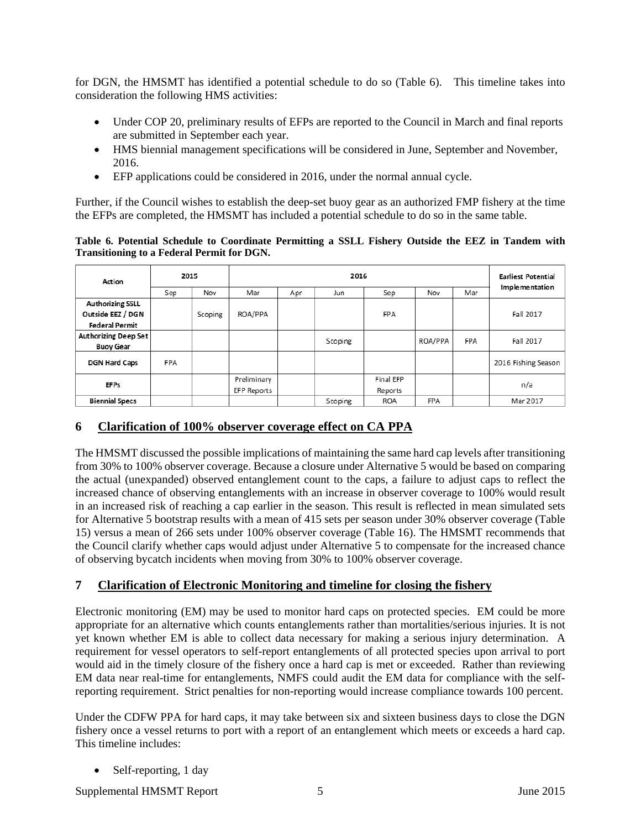for DGN, the HMSMT has identified a potential schedule to do so [\(Table 6\)](#page-4-0). This timeline takes into consideration the following HMS activities:

- Under COP 20, preliminary results of EFPs are reported to the Council in March and final reports are submitted in September each year.
- HMS biennial management specifications will be considered in June, September and November, 2016.
- EFP applications could be considered in 2016, under the normal annual cycle.

Further, if the Council wishes to establish the deep-set buoy gear as an authorized FMP fishery at the time the EFPs are completed, the HMSMT has included a potential schedule to do so in the same table.

<span id="page-4-0"></span>**Table 6. Potential Schedule to Coordinate Permitting a SSLL Fishery Outside the EEZ in Tandem with Transitioning to a Federal Permit for DGN.**

| Action                  | 2015       |         |             | <b>Earliest Potential</b><br>Implementation |         |            |            |            |                     |  |
|-------------------------|------------|---------|-------------|---------------------------------------------|---------|------------|------------|------------|---------------------|--|
|                         | Sep        | Nov     | Mar         | Apr                                         | Jun     | Sep        | Nov        | Mar        |                     |  |
| <b>Authorizing SSLL</b> |            |         |             |                                             |         |            |            |            |                     |  |
| Outside EEZ / DGN       |            | Scoping | ROA/PPA     |                                             |         | <b>FPA</b> |            |            | Fall 2017           |  |
| <b>Federal Permit</b>   |            |         |             |                                             |         |            |            |            |                     |  |
| Authorizing Deep Set    |            |         |             |                                             | Scoping |            | ROA/PPA    | <b>FPA</b> | Fall 2017           |  |
| <b>Buoy Gear</b>        |            |         |             |                                             |         |            |            |            |                     |  |
| <b>DGN Hard Caps</b>    | <b>FPA</b> |         |             |                                             |         |            |            |            | 2016 Fishing Season |  |
| <b>EFPs</b>             |            |         | Preliminary |                                             |         | Final EFP  |            |            |                     |  |
|                         |            |         | EFP Reports |                                             |         | Reports    |            |            | n/a                 |  |
| <b>Biennial Specs</b>   |            |         |             |                                             | Scoping | <b>ROA</b> | <b>FPA</b> |            | Mar 2017            |  |

### **6 Clarification of 100% observer coverage effect on CA PPA**

The HMSMT discussed the possible implications of maintaining the same hard cap levels after transitioning from 30% to 100% observer coverage. Because a closure under Alternative 5 would be based on comparing the actual (unexpanded) observed entanglement count to the caps, a failure to adjust caps to reflect the increased chance of observing entanglements with an increase in observer coverage to 100% would result in an increased risk of reaching a cap earlier in the season. This result is reflected in mean simulated sets for Alternative 5 bootstrap results with a mean of 415 sets per season under 30% observer coverage (Table 15) versus a mean of 266 sets under 100% observer coverage (Table 16). The HMSMT recommends that the Council clarify whether caps would adjust under Alternative 5 to compensate for the increased chance of observing bycatch incidents when moving from 30% to 100% observer coverage.

# **7 Clarification of Electronic Monitoring and timeline for closing the fishery**

Electronic monitoring (EM) may be used to monitor hard caps on protected species. EM could be more appropriate for an alternative which counts entanglements rather than mortalities/serious injuries. It is not yet known whether EM is able to collect data necessary for making a serious injury determination. A requirement for vessel operators to self-report entanglements of all protected species upon arrival to port would aid in the timely closure of the fishery once a hard cap is met or exceeded. Rather than reviewing EM data near real-time for entanglements, NMFS could audit the EM data for compliance with the selfreporting requirement. Strict penalties for non-reporting would increase compliance towards 100 percent.

Under the CDFW PPA for hard caps, it may take between six and sixteen business days to close the DGN fishery once a vessel returns to port with a report of an entanglement which meets or exceeds a hard cap. This timeline includes:

Self-reporting, 1 day

Supplemental HMSMT Report 5 5 June 2015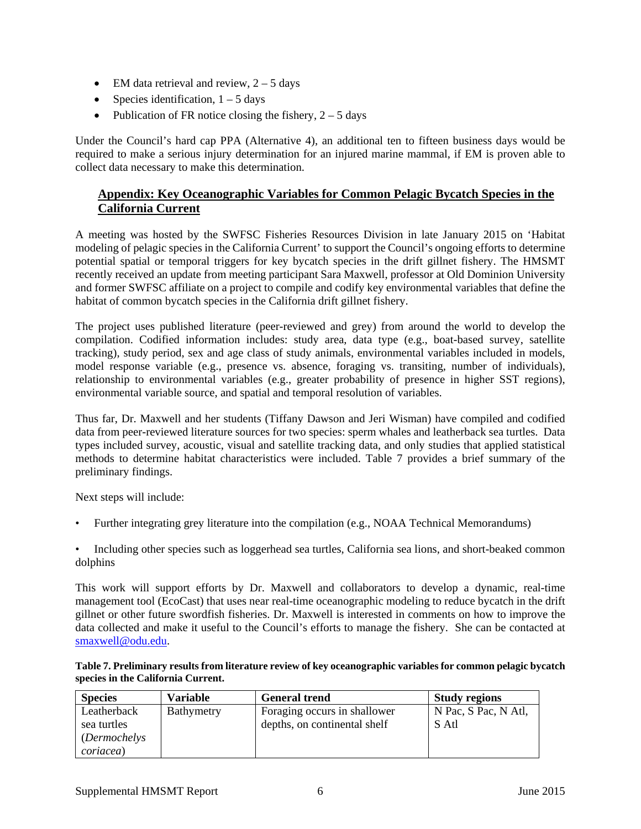- EM data retrieval and review,  $2 5$  days
- Species identification,  $1 5$  days
- Publication of FR notice closing the fishery,  $2 5$  days

Under the Council's hard cap PPA (Alternative 4), an additional ten to fifteen business days would be required to make a serious injury determination for an injured marine mammal, if EM is proven able to collect data necessary to make this determination.

# **Appendix: Key Oceanographic Variables for Common Pelagic Bycatch Species in the California Current**

A meeting was hosted by the SWFSC Fisheries Resources Division in late January 2015 on 'Habitat modeling of pelagic species in the California Current' to support the Council's ongoing efforts to determine potential spatial or temporal triggers for key bycatch species in the drift gillnet fishery. The HMSMT recently received an update from meeting participant Sara Maxwell, professor at Old Dominion University and former SWFSC affiliate on a project to compile and codify key environmental variables that define the habitat of common bycatch species in the California drift gillnet fishery.

The project uses published literature (peer-reviewed and grey) from around the world to develop the compilation. Codified information includes: study area, data type (e.g., boat-based survey, satellite tracking), study period, sex and age class of study animals, environmental variables included in models, model response variable (e.g., presence vs. absence, foraging vs. transiting, number of individuals), relationship to environmental variables (e.g., greater probability of presence in higher SST regions), environmental variable source, and spatial and temporal resolution of variables.

Thus far, Dr. Maxwell and her students (Tiffany Dawson and Jeri Wisman) have compiled and codified data from peer-reviewed literature sources for two species: sperm whales and leatherback sea turtles. Data types included survey, acoustic, visual and satellite tracking data, and only studies that applied statistical methods to determine habitat characteristics were included. Table 7 provides a brief summary of the preliminary findings.

Next steps will include:

- Further integrating grey literature into the compilation (e.g., NOAA Technical Memorandums)
- Including other species such as loggerhead sea turtles, California sea lions, and short-beaked common dolphins

This work will support efforts by Dr. Maxwell and collaborators to develop a dynamic, real-time management tool (EcoCast) that uses near real-time oceanographic modeling to reduce bycatch in the drift gillnet or other future swordfish fisheries. Dr. Maxwell is interested in comments on how to improve the data collected and make it useful to the Council's efforts to manage the fishery. She can be contacted at [smaxwell@odu.edu.](mailto:smaxwell@odu.edu)

**Table 7. Preliminary results from literature review of key oceanographic variables for common pelagic bycatch species in the California Current.**

| <b>Species</b>                                                          | <b>Variable</b> | <b>General trend</b>                                         | <b>Study regions</b>          |
|-------------------------------------------------------------------------|-----------------|--------------------------------------------------------------|-------------------------------|
| Leatherback<br>sea turtles<br><i>(Dermochelys)</i><br><i>coriacea</i> ) | Bathymetry      | Foraging occurs in shallower<br>depths, on continental shelf | N Pac, S Pac, N Atl,<br>S Atl |